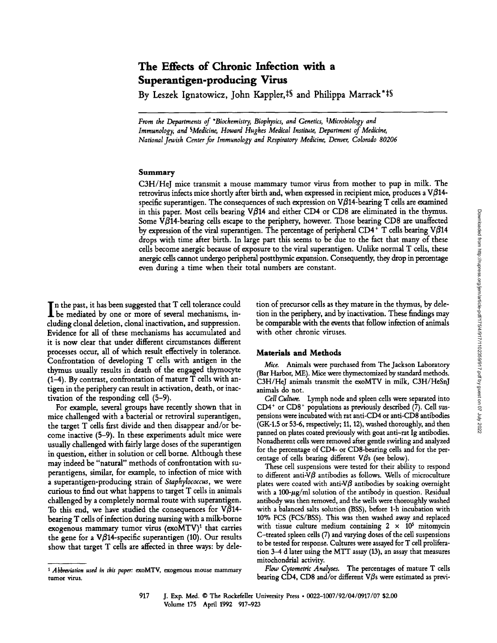# **The Effects of Chronic Infection with a Superantigen-producing Virus**

By Leszek Ignatowicz, John Kappler,<sup>†§</sup> and Philippa Marrack\*<sup>‡§</sup>

*From the Departments of \*Biochemistry, Biophysics, and Genetics, \*Microbiology and Immunology, and SMedicine, Howard Hughes Medical Institute, Department of Medicine, National Jewish Center for Immunology and Respiratory Medicine, Denver, Colorado 80206* 

#### Summary

C3H/HeJ mice transmit a mouse mammary tumor virus from mother to pup in milk. The retrovirus infects mice shortly after birth and, when expressed in recipient mice, produces a V $\beta$ 14specific superantigen. The consequences of such expression on  $V\beta$ 14-bearing T cells are examined in this paper. Most cells bearing  $V$\beta14$  and either CD4 or CD8 are eliminated in the thymus. Some V $\beta$ 14-bearing cells escape to the periphery, however. Those bearing CD8 are unaffected by expression of the viral superantigen. The percentage of peripheral CD4  $^+$  T cells bearing V $\beta$ 14 drops with time after birth. In large part this seems to be due to the fact that many of these ceils become anergic because of exposure to the viral superantigen. Unlike normal T cells, these anergic cells cannot undergo peripheral postthymic expansion. Consequently, they drop in percentage even during a time when their total numbers are constant.

In the past, it has been suggested that T cell tolerance could be mediated by one or more of several mechanisms, including donal deletion, donal inactivation, and suppression. Evidence for all of these mechanisms has accumulated and it is now dear that under different circumstances different processes occur, all of which result effectively in tolerance. Confrontation of developing T calls with antigen in the thymus usually results in death of the engaged thymocyte (1-4). By contrast, confrontation of mature T cells with antigen in the periphery can result in activation, death, or inactivation of the responding call (5-9).

For example, several groups have recently shown that in mice challenged with a bacterial or retroviral superantigen, the target T cells first divide and then disappear and/or become inactive (5-9). In these experiments adult mice were usually challenged with fairly large doses of the superantigen in question, either in solution or cell borne. Although these may indeed be "natural" methods of confrontation with superantigens, similar, for example, to infection of mice with a superantigen-producing strain of *Staphylococcus,* we were curious to find out what happens to target T calls in animals challenged by a completely normal route with superantigen. To this end, we have studied the consequences for V $\beta$ 14beating T cells of infection during nursing with a milk-borne exogenous mammary tumor virus  $(exoMTV)^1$  that carries the gene for a V $\beta$ 14-specific superantigen (10). Our results show that target T cells are affected in three ways: by dele-

tion of precursor cells as they mature in the thymus, by deletion in the periphery, and by inactivation. These findings may be comparable with the events that follow infection of animals with other chronic viruses.

### **Materials and Methods**

*Mice.* Animals were purchased from The Jackson Laboratory (Bar Harbor, ME). Mice were thymectomized by standard methods. C3H/HeJ animals transmit the exoMTV in milk, C3H/HeSnJ animals do not.

*Cell Culture.* Lymph node and spleen cells were separated into  $CD4<sup>+</sup>$  or  $CD8<sup>+</sup>$  populations as previously described (7). Cell suspensions were incubated with rat anti-CD4 or anti-CD8 antibodies (GK-1.5 or 53-6, respectively; 11, 12), washed thoroughly, and then panned on plates coated previously with goat anti-rat Ig antibodies. Nonadherent cells were removed after gentle swirling and analyzed for the percentage of CD4- or CD8-bearing cells and for the percentage of cells bearing different  $V\beta s$  (see below).

These cell suspensions were tested for their ability to respond to different anti- $\nabla\beta$  antibodies as follows. Wells of microculture plates were coated with anti-V $\beta$  antibodies by soaking overnight with a  $100~\mu$ g/ml solution of the antibody in question. Residual antibody was then removed, and the wells were thoroughly washed with a balanced salts solution (BSS), before 1-h incubation with 10% FCS (FCS/BSS). This was then washed away and replaced with tissue culture medium containing  $2 \times 10^5$  mitomycin C-treated spleen cells (7) and varying doses of the cell suspensions **to** be tested for response. Cultures were assayed for T cell proliferation 3-4 d later using the MTT assay (13), an assay that measures mitochondrial activity.

*Flow Cytometric Analyses.* The percentages of mature T cells bearing CD4, CD8 and/or different V $\beta$ s were estimated as previ-

*<sup>1</sup> Abbreviation used in this paper:* exoMTV, exogenous mouse mammary **tumor** virus.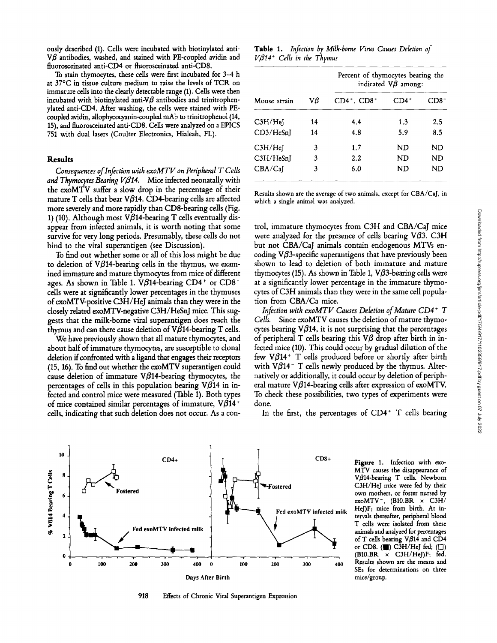ously described (1). Cells were incubated with biotinylated anti- $V\beta$  antibodies, washed, and stained with PE-coupled avidin and fluorosceinated anti-CD4 or fluorosceinated anti-CD8.

To stain thymocytes, these cells were first incubated for 3-4 h at 37°C in tissue culture medium to raise the levels of TCR on immature cells into the clearly detectable range (1). Cells were then incubated with biotinylated anti-V $\beta$  antibodies and trinitrophenylated anti-CD4. After washing, the cells were stained with PEcoupled avidin, allophycocyanin-coupled mAb to trinitrophenol (14, 15), and fluorosceinated anti-CD8. Cells were analyzed on a EPICS 751 with dual lasers (Coulter Electronics, Hialeah, FL).

### **Results**

*Consequences of Infection with exoMTV on Peripheral T Cells*  and Thymocytes Bearing V<sub>B14</sub>. Mice infected neonatally with the exoMTV suffer a slow drop in the percentage of their mature T cells that bear V $\beta$ 14. CD4-bearing cells are affected more severely and more rapidly than CD8-bearing cells (Fig. 1) (10). Although most V $\beta$ 14-bearing T cells eventually disappear from infected animals, it is worth noting that some survive for very long periods. Presumably, these cells do not bind to the viral superantigen (see Discussion).

To find out whether some or all of this loss might be due to deletion of V $\beta$ 14-bearing cells in the thymus, we examined immature and mature thymocytes from mice of different ages. As shown in Table 1. V $\beta$ 14-bearing CD4<sup>+</sup> or CD8<sup>+</sup> cells were at significantly lower percentages in the thymuses of exoMTV-positive C3H/HeJ animals than they were in the closely related exoMTV-negative C3H/HeSnJ mice. This suggests that the milk-borne viral superantigen does reach the thymus and can there cause deletion of  $V\beta$ 14-bearing T cells.

We have previously shown that all mature thymocytes, and about half of immature thymocytes, are susceptible to clonal deletion if confronted with a ligand that engages their receptors (15, 16). To find out whether the exoMTV superantigen could cause deletion of immature  $V\beta$ 14-bearing thymocytes, the percentages of cells in this population bearing  $V\beta$ 14 in infected and control mice were measured (Table 1). Both types of mice contained similar percentages of immature,  $V\beta$ 14<sup>+</sup> cells, indicating that such deletion does not occur. As a con-

**Table** 1. *Infection by Milk-borne Virus Causes Deletion of V~14 § Cells in the Thymus* 

| Mouse strain | Vβ | Percent of thymocytes bearing the<br>indicated $\nabla\beta$ among: |         |         |
|--------------|----|---------------------------------------------------------------------|---------|---------|
|              |    | $CD4^+$ , $CD8^+$                                                   | $CD4^+$ | CD8+    |
| C3H/He       | 14 | 4.4                                                                 | 1.3     | $2.5\,$ |
| CD3/HeSnJ    | 14 | 4.8                                                                 | 5.9     | 8.5     |
| C3H/HeI      | 3  | 1.7                                                                 | ND      | ND      |
| C3H/HeSn     | 3  | 2.2                                                                 | ND      | ND      |
| CBA/CaI      | 3  | 6.0                                                                 | ND      | ND      |

Results shown are the average of two animals, except for CBA/CaJ, in which a single animal was analyzed.

trol, immature thymocytes from C3H and CBA/CaJ mice were analyzed for the presence of cells bearing  $V\beta3$ . C3H but not CBA/CaJ animals contain endogenous MTVs encoding  $V\beta$ 3-specific superantigens that have previously been shown to lead to deletion of both immature and mature thymocytes (15). As shown in Table 1,  $V\beta$ 3-bearing cells were at a significantly lower percentage in the immature thymocytes of C3H animals than they were in the same cell population from CBA/Ca mice.

*Infection with exoMTV Causes Deletion of Mature CD4 + T Cells.* Since exoMTV causes the deletion of mature thymocytes bearing  $V\beta$ 14, it is not surprising that the percentages of peripheral T cells bearing this  $V\beta$  drop after birth in infected mice (10). This could occur by gradual dilution of the few V $\beta$ 14<sup>+</sup> T cells produced before or shortly after birth with  $V\beta$ 14<sup>-</sup> T cells newly produced by the thymus. Alternatively or additionally, it could occur by deletion of peripheral mature V $\beta$ 14-bearing cells after expression of exoMTV. To check these possibilities, two types of experiments were done.

In the first, the percentages of  $CD4^+$  T cells bearing



918 Effects of Chronic Viral Superantigen Expression

**Figure** 1. Infection with exo-MTV causes the disappearance of V $\beta$ 14-bearing T cells. Newborn C3H/HeJ mice were fed by their own mothers, or foster nursed by exoMTV $^-$ , (B10.BR  $\times$  C3H/ HeJ) $F_1$  mice from birth. At intervals thereafter, peripheral blood T cells were isolated from these animals and analyzed for percentages of T cells bearing  $V/\beta$ 14 and CD4 or CD8.  $(\blacksquare)$  C $\overline{3}H/HeJ$  fed;  $(\square)$  $(B10.BR \times C3H/HeJ)F_1$  fed. Results shown are the means and SEs for determinations on three mice/group.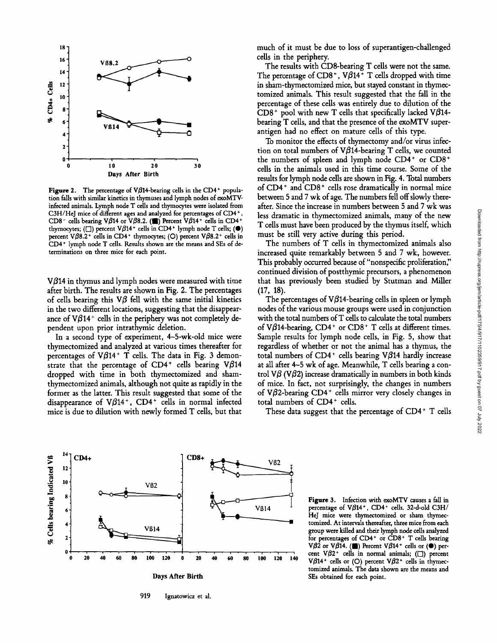

Figure 2. The percentage of V $\beta$ 14-bearing cells in the CD4<sup>+</sup> population falls with similar kinetics in thymuses and lymph nodes of exoMTVinfected animals. Lymph node T cells and thymocytes were isolated from C3H/HeJ mice of different ages and analyzed for percentages of CD4+, CD8<sup>-</sup> cells bearing V $\beta$ 14 or V $\beta$ 8.2. (I) Percent V $\beta$ 14<sup>+</sup> cells in CD4<sup>+</sup> thymocytes; ( $\Box$ ) percent V $\beta$ 14<sup>+</sup> cells in CD4<sup>+</sup> lymph node T cells; ( $\bullet$ ) percent V $\beta$ 8.2<sup>+</sup> cells in CD4<sup>+</sup> thymocytes; (O) percent V $\beta$ 8.2<sup>+</sup> cells in CD4<sup>+</sup> lymph node T cells. Results shown are the means and SEs of determinations on three mice for each point.

 $V\beta$ 14 in thymus and lymph nodes were measured with time after birth. The results are shown in Fig. 2. The percentages of cells bearing this  $V\beta$  fell with the same initial kinetics in the two different locations, suggesting that the disappearance of  $V\beta$ 14<sup>+</sup> cells in the periphery was not completely dependent upon prior intrathymic deletion.

In a second type of experiment, 4-5-wk-old mice were thymectomized and analyzed at various times thereafter for percentages of V $\beta$ 14<sup>+</sup> T cells. The data in Fig. 3 demonstrate that the percentage of CD4<sup>+</sup> cells bearing V $\beta$ 14 dropped with time in both thymectomized and shamthymectomized animals, although not quite as rapidly in the former as the latter. This result suggested that some of the disappearance of  $V\beta$ 14<sup>+</sup>, CD4<sup>+</sup> cells in normal infected mice is due to dilution with newly formed T cells, but that

much of it must be due to loss of superantigen-challenged cells in the periphery.

The results with CD8-bearing T cells were not the same. The percentage of CD8<sup>+</sup>,  $V\beta$ 14<sup>+</sup> T cells dropped with time in sham-thymectomized mice, but stayed constant in thymectomized animals. This result suggested that the fall in the percentage of these cells was entirely due to dilution of the  $CD8<sup>+</sup>$  pool with new T cells that specifically lacked V $\beta$ 14bearing T cells, and that the presence of the exoMTV superantigen had no effect on mature cells of this type.

To monitor the effects of thymectomy and/or virus infection on total numbers of V $\beta$ 14-bearing T cells, we counted the numbers of spleen and lymph node  $CD4^+$  or  $CD8^+$ cells in the animals used in this time course. Some of the results for lymph node cells are shown in Fig. 4. Total numbers of CD4 + and CD8 + cells rose dramatically in normal mice between 5 and 7 wk of age. The numbers fell off slowly thereafter. Since the increase in numbers between 5 and 7 wk was less dramatic in thymectomized animals, many of the new T cells must have been produced by the thymus itself, which must be still very active during this period.

The numbers of T cells in thymectomized animals also increased quite remarkably between 5 and 7 wk, however. This probably occurred because of "nonspecific proliferation," continued division of postthymic precursors, a phenomenon that has previously been studied by Stutman and Miller  $(17, 18)$ .

The percentages of  $V\beta$ 14-bearing cells in spleen or lymph nodes of the various mouse groups were used in conjunction with the total numbers of T cells to calculate the total numbers of V $\beta$ 14-bearing, CD4<sup>+</sup> or CD8<sup>+</sup> T cells at different times. Sample results for lymph node cells, in Fig. 5, show that regardless of whether or not the animal has a thymus, the total numbers of CD4<sup>+</sup> cells bearing V $\beta$ 14 hardly increase at all after 4-5 wk of age. Meanwhile, T cells bearing a control V $\beta$  (V $\beta$ 2) increase dramatically in numbers in both kinds of mice. In fact, not surprisingly, the changes in numbers of V $\beta$ 2-bearing CD4<sup>+</sup> cells mirror very closely changes in total numbers of CD4<sup>+</sup> cells.

These data suggest that the percentage of CD4+ T cells



919 Ignatowicz et al.

Figure 3. Infection with exoMTV causes a fall in percentage of V $\beta$ 14<sup>+</sup>, CD4<sup>+</sup> cells. 32-d-old C3H/ HeJ mice were thymectomized or sham thymectomized. At intervals thereafter, three mice from each group were killed and their lymph node cells analyzed for percentages of  $CD4^+$  or  $CD8^+$  T cells bearing V $\beta$ 2 or V $\beta$ 14. (iii) Percent V $\beta$ 14<sup>+</sup> cells or ( $\bullet$ ) percent V $\beta$ 2<sup>+</sup> cells in normal animals; ( $\square$ ) percent V $\beta$ 14<sup>+</sup> cells or (O) percent V $\beta$ 2<sup>+</sup> cells in thymectomized animals. The data shown are the means and SEs obtained for each point.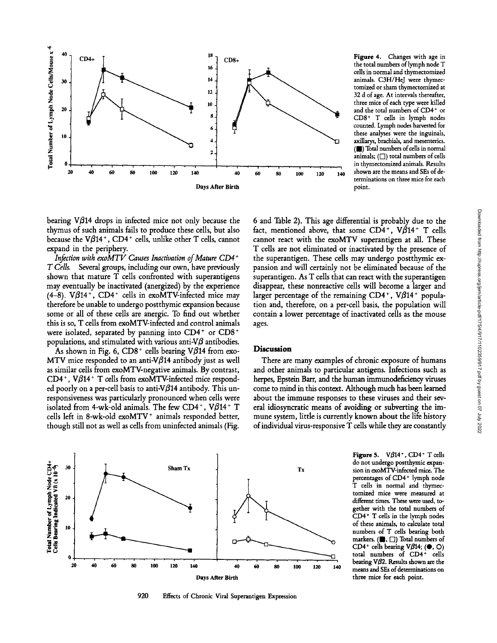

Figure 4. Changes with age in the total numbers of lymph node T cells in normal and thymectomized animals. C3H/HeJ were thymectomized or sham thymectomized at 32 d of age. At intervals thereafter, three mice of each type were killed and the total numbers of CD4<sup>+</sup> or CD8<sup>+</sup> T cells in lymph nodes counted. Lymph nodes harvested for these analyses were the inguinals, axillarys, brachials, and mesenterics. (11) Total numbers of cells in normal animals;  $(\Box)$  total numbers of cells in thymectomized animals. Results shown are the means and SEs of determinations on three mice for each point.

bearing  $V\beta$ 14 drops in infected mice not only because the thymus of such animals fails to produce these ceils, but also because the  $V\beta$ 14<sup>+</sup>, CD4<sup>+</sup> cells, unlike other T cells, cannot expand in the periphery.

*Infection with exoMTV Causes Inactivation of Mature CD4 ~ T Cells.* Several groups, including our own, have previously shown that mature T cells confronted with superantigens may eventually be inactivated (anergized) by the experience (4-8).  $V\beta$ 14<sup>+</sup>, CD4<sup>+</sup> cells in exoMTV-infected mice may therefore be unable to undergo postthymic expansion because some or all of these ceils are anergic. To find out whether this is so, T cells from exoMTV-infected and control animals were isolated, separated by panning into  $CD4^+$  or  $CD8^+$ populations, and stimulated with various anti- $V\beta$  antibodies.

As shown in Fig. 6,  $CD8^+$  cells bearing V $\beta$ 14 from exo-MTV mice responded to an anti-V $\beta$ 14 antibody just as well as similar cells from exoMTV-negative animals. By contrast,  $CD4^+$ , V $\beta$ 14<sup>+</sup> T cells from exoMTV-infected mice responded poorly on a per-cell basis to anti-V $\beta$ 14 antibody. This unresponsiveness was particularly pronounced when cells were isolated from 4-wk-old animals. The few CD4<sup>+</sup>, V $\beta$ 14<sup>+</sup> T cells left in 8-wk-old exoMTV<sup>+</sup> animals responded better, though still not as well as cells from uninfected animals (Fig.

**6 and Table 2). This age differential is probably due to the fact, mentioned above, that some CD4 +, VB14 + T cells cannot react with the exoMTV superantigen at all. These T cells are not eliminated or inactivated by the presence of the superantigen. These cells may undergo postthymic expansion and will certainly not be eliminated because of the superantigen. As T cells that can react with the superantigen disappear, these nonreactive cells will become a larger and**  larger percentage of the remaining  $CD4^+$ ,  $V\beta14^+$  popula**tion and, therefore, on a per-cell basis, the population will contain a lower percentage of inactivated cells as the mouse ages.** 

#### **Discussion**

**There are many examples of chronic exposure of humans and other animals to particular antigens. Infections such as**  herpes, Epstein Barr, and the human immunodeficiency viruses **come to mind in this context. Although much has been learned about the immune responses to these viruses and their several idiosyncratic means of avoiding or subverting the immune system, little is currently known about the life history of individual virus-responsive T cells while they are constantly** 



920 Effects of Chronic Viral Superantigen Expression

Figure 5.  $V\beta$ 14<sup>+</sup>, CD4<sup>+</sup> T cells do not undergo postthymic expansion in  $exoM\bar{T}V$ -infected mice. The percentages of CD4+ lymph node T cells in normal and thymectomized mice were measured at different times. These were used, together with the total numbers of CD4 + T cells in the lymph nodes of these animals, to calculate total numbers of T cells bearing both markers. ( $\blacksquare$ ,  $\Box$ ) Total numbers of CD4<sup>+</sup> cells bearing V $\beta$ 14; ( $\bullet$ , O) total numbers of CD4+ cells bearing V $\beta$ 2. Results shown are the means and SEs of determinations on three mice for each point.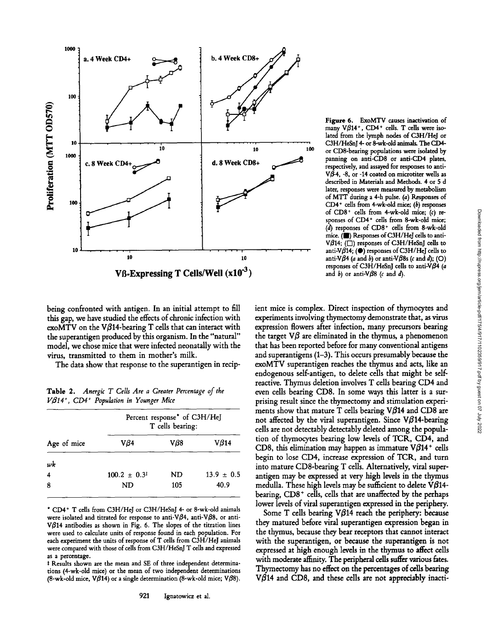

Figure 6. ExoMTV causes inactivation of many  $V\beta$ 14<sup>+</sup>, CD4<sup>+</sup> cells. T cells were isolated from the lymph nodes of C3H/HeJ or C3H/HeSnJ 4- or 8-wk-old animals. The CD4or CD8-bearing populations were isohted by panning on anti-CD8 or anti-CD4 plates, respectively, and assayed for responses to anti- $V\hat{\beta}$ -4, -8, or -14 coated on microtiter wells as described in Materials and Methods. 4 or 5 d later, responses were measured by metabolism of MTT during a 4-h pulse. (a) Responses of  $CD4$ <sup>+</sup> cells from 4-wk-old mice; (b) responses of  $CD8<sup>+</sup>$  cells from 4-wk-old mice; (c) responses of CD4<sup>+</sup> cells from 8-wk-old mice; (d) responses of CD8 + cells from 8-wk-old mice. (I) Responses of C3H/HeJ cells to anti-V $\beta$ 14; ( $\square$ ) responses of C3H/HeSnJ cells to anti-V $\beta$ 14; ( $\bullet$ ) responses of C3H/HeJ cells to anti-V $\beta$ 4 (a and b) or anti-V $\beta$ 8s (c and d); (O) responses of C3H/HeSnJ cells to anti-V $\beta$ 4 (a and b) or anti- $\nabla\beta$ 8 (c and d).

being confronted with antigen. In an initial attempt to fill this gap, we have studied the effects of chronic infection with exoMTV on the V $\beta$ 14-bearing T cells that can interact with the superantigen produced by this organism. In the "natural" model, we chose mice that were infected neonatally with the virus, transmitted to them in mother's milk.

The data show that response to the superantigen in recip-

Table 2. *Anergic T Cells Are a Greater Percentage of the V~14 +, CD4 + Population in Younger Mice* 

| Age of mice | Percent response* of C3H/HeJ<br>T cells bearing: |           |                |  |  |
|-------------|--------------------------------------------------|-----------|----------------|--|--|
|             | Vß4                                              | $V\beta8$ | $V\beta$ 14    |  |  |
| wk          |                                                  |           |                |  |  |
| 4           | $100.2 \pm 0.3^{\ddagger}$                       | ND        | $13.9 \pm 0.5$ |  |  |
| 8           | ND                                               | 105       | 40.9           |  |  |

\* CD4 § T cells from C3H/HeJ or C3H/HeSnJ 4- or 8-wk-old animals were isolated and titrated for response to anti-V $\beta$ 4, anti-V $\beta$ 8, or anti-V $\beta$ 14 antibodies as shown in Fig. 6. The slopes of the titration lines were used to calculate units of response found in each population. For each experiment the units of response of T cells from C3H/HeJ animals were compared with those of cells from C3H/HeSnJ T cells and expressed as a percentage.

\* Results shown are the mean and SE of three independent determinations (4-wk-old mice) or the mean of two independent determinations (8-wk-old mice, V $\beta$ 14) or a single determination (8-wk-old mice; V $\beta$ 8). ient mice is complex. Direct inspection of thymocytes and experiments involving thymectomy demonstrate that, as virus expression flowers after infection, many precursors bearing the target  $\nabla\beta$  are eliminated in the thymus, a phenomenon that has been reported before for many conventional antigens and superantigens (1-3). This occurs presumably because the exoMTV superantigen reaches the thymus and acts, like an endogenous self-antigen, to delete cells that might be selfreactive. Thymus deletion involves T cells bearing CD4 and even cells bearing CD8. In some ways this latter is a surprising result since the thymectomy and stimulation experiments show that mature  $T$  cells bearing V $\beta$ 14 and CD8 are not affected by the viral superantigen. Since  $V\beta$ 14-bearing cells are not detectably detectably deleted among the population of thymocytes bearing low levels of TCR, CD4, and CD8, this elimination may happen as immature  $V\beta$ 14<sup>+</sup> cells begin to lose CD4, increase expression of TCR, and turn into mature CD8-bearing T cells. Alternatively, viral superantigen may be expressed at very high levels in the thymus medulla. These high levels may be sufficient to delete  $V\beta$ 14bearing,  $CD8<sup>+</sup>$  cells, cells that are unaffected by the perhaps lower levels of viral superantigen expressed in the periphery.

Some T cells bearing  $V\beta$ 14 reach the periphery: because they matured before viral superantigen expression began in the thymus, because they bear receptors that cannot interact with the superantigen, or because the superantigen is not expressed at high enough levels in the thymus to affect cells with moderate affinity. The peripheral cells suffer various fates. Thymectomy has no effect on the percentages of cells bearing  $V\beta$ 14 and CD8, and these cells are not appreciably inacti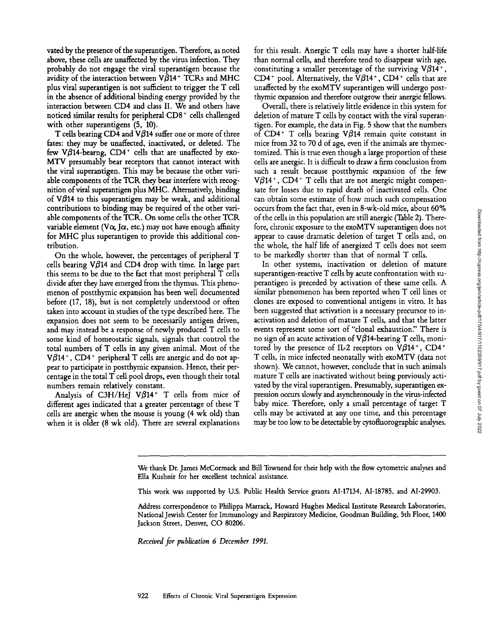vated by the presence of the superantigen. Therefore, as noted above, these cells are unaffected by the virus infection. They probably do not engage the viral superantigen because the avidity of the interaction between  $V\beta$ 14<sup>+</sup> TCRs and MHC plus viral superantigen is not sufficient to trigger the T cell in the absence of additional binding energy provided by the interaction between CD4 and class II. We and others have noticed similar results for peripheral CD8<sup>+</sup> cells challenged with other superantigens (5, 10).

T cells bearing CD4 and V $\beta$ 14 suffer one or more of three fates: they may be unaffected, inactivated, or deleted. The few V $\beta$ 14-bearng, CD4<sup>+</sup> cells that are unaffected by exo-MTV presumably bear receptors that cannot interact with the viral superantigen. This may be because the other variable components of the TCR they bear interfere with recognition of viral superantigen plus MHC. Alternatively, binding of  $V\beta$ 14 to this superantigen may be weak, and additional contributions to binding may be required of the other variable components of the TCR. On some cells the other TCR variable element (V $\alpha$ , J $\alpha$ , etc.) may not have enough affinity for MHC plus superantigen to provide this additional contribution.

On the whole, however, the percentages of peripheral T cells bearing V $\beta$ 14 and CD4 drop with time. In large part this seems to be due to the fact that most peripheral T cells divide after they have emerged from the thymus. This phenomenon of postthymic expansion has been well documented before (17, 18), but is not completely understood or often taken into account in studies of the type described here. The expansion does not seem to be necessarily antigen driven, and may instead be a response of newly produced T cells to some kind of homeostatic signals, signals that control the total numbers of T cells in any given animal. Most of the  $V\beta$ 14<sup>+</sup>, CD4<sup>+</sup> peripheral T cells are anergic and do not appear to participate in postthymic expansion. Hence, their percentage in the total T cell pool drops, even though their total numbers remain relatively constant.

Analysis of C3H/HeJ  $V\beta$ 14<sup>+</sup> T cells from mice of different ages indicated that a greater percentage of these T cells are anergic when the mouse is young (4 wk old) than when it is older (8 wk old). There are several explanations

for this result. Anergic T cells may have a shorter half-life than normal cells, and therefore tend to disappear with age, constituting a smaller percentage of the surviving  $V\beta14^+$ , CD4<sup>+</sup> pool. Alternatively, the V $\beta$ 14<sup>+</sup>, CD4<sup>+</sup> cells that are unaffected by the exoMTV superantigen will undergo postthymic expansion and therefore outgrow their anergic fellows.

Overall, there is relatively little evidence in this system for deletion of mature T cells by contact with the viral superantigen. For example, the data in Fig. 5 show that the numbers of CD4<sup>+</sup> T cells bearing V $\beta$ 14 remain quite constant in mice from 32 to 70 d of age, even if the animals are thymectomized. This is true even though a large proportion of these cells are anergic. It is difficult to draw a firm conclusion from such a result because postthymic expansion of the few  $V\beta$ 14<sup>+</sup>, CD4<sup>+</sup> T cells that are not anergic might compensate for losses due to rapid death of inactivated cells. One can obtain some estimate of how much such compensation occurs from the fact that, even in 8-wk-old mice, about 60% of the cells in this population are still anergic (Table 2). Therefore, chronic exposure to the exoMTV superantigen does not appear to cause dramatic deletion of target T cells and, on the whole, the half life of anergized T cells does not seem to be markedly shorter than that of normal T cells.

In other systems, inactivation or deletion of mature superantigen-reactive T cells by acute confrontation with superantigen is preceded by activation of these same cells. A similar phenomenon has been reported when T cell lines or clones are exposed to conventional antigens in vitro. It has been suggested that activation is a necessary precursor to inactivation and deletion of mature T cells, and that the latter events represent some sort of "clonal exhaustion" There is no sign of an acute activation of  $V\beta$ 14-bearing T cells, monitored by the presence of IL-2 receptors on V $\beta$ 14<sup>+</sup>, CD4<sup>+</sup> T cells, in mice infected neonatally with exoMTV (data not shown). We cannot, however, conclude that in such animals mature T cells are inactivated without being previously activated by the viral superantigen. Presumably, superantigen expression occurs slowly and asynchronously in the virus-infected baby mice. Therefore, only a small percentage of target T cells may be activated at any one time, and this percentage may be too low to be detectable by cytofluorographic analyses.

This work was supported by U.S. Public Health Service grants AI-17134, AI-18785, and AI-29903.

*Received for publication 6 December 1991.* 

We thank Dr. James McCormack and Bill Townend for their help with the flow cytometric analyses and Ella Kushnir for her excellent technical assistance.

Address correspondence to Philippa Marrack, Howard Hughes Medical Institute Research Laboratories, National Jewish Center for Immunology and Respiratory Medicine, Goodman Building, 5th Floor, 1400 Jackson Street, Denver, CO 80206.